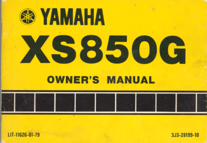

LIT-11626-01-79

3J3-28199-10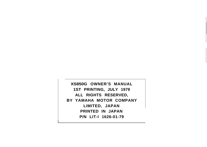**XS850G OWNER'S MANUAL 1ST PRINTING, JULY 1979 ALL RIGHTS RESERVED, BY YAMAHA MOTOR COMPANY LIMITED, JAPAN PRINTED IN JAPAN P/N LIT-l 1626-01-79**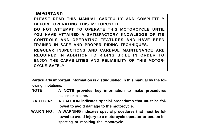$IMPORTANT:$ **PLEASE READ THIS MANUAL CAREFULLY AND COMPLETELY BEFORE OPERATING THIS MOTORCYCLE. DO NOT ATTEMPT TO OPERATE THIS MOTORCYCLE UNTIL YOU HAVE ATTAINED A SATISFACTORY KNOWLEDGE OF ITS CONTROLS AND OPERATING FEATURES AND HAVE BEEN TRAINED IN SAFE AND PROPER RIDING TECHNIQUES. REGULAR INSPECTIONS AND CAREFUL MAINTENANCE ARE REQUIRED IN ADDITION TO RIDING SKILL IN ORDER TO ENJOY THE CAPABILITIES AND RELIABILITY OF THIS MOTOR-CYCLE SAFELY.**

**Particularly important information is distinguished in this manual by the following notations:**

- **NOTE: A NOTE provides key information to make procedures easier or clearer.**
- **CAUTION: A CAUTION indicates special procedures that must be followed to avoid damage to the motorcycle.**
- **WARNING: A WARNING indicates special procedures that must be followed to avoid injury to a motorcycle operator or person inspecting or repairing the motorcycle.**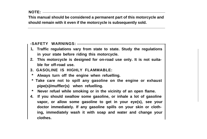**This manual should be considered a permanent part of this motorcycle and should remain with it even if the motorcycle is subsequently sold.**

## **-SAFETY WARNINGS:**

- **1, Traffic regulations vary from state to state. Study the regulations in your state before riding this motorcycle.**
- **2. This motorcycle is designed for on-road use only. It is not suitable for off-road use.**
- **3. GASOLINE IS HIGHLY FLAMMABLE:**
- **\* Always turn off the engine when refuelling.**
- **\* Take care not to spill any gasoline on the engine or exhaust pipe(s)/muffler(s) when refuelling.**
- **\* Never refuel while smoking or in the vicinity of an open flame.**
- **4. If you should swallow some gasoline, or inhale a lot of gasoline vapor, or allow some gasoline to get in your eye(s), see your doctor immediately. If any gasoline spills on your skin or clothing, immediately wash it with soap and water and change your clothes.**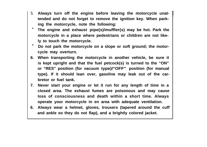- 5. **Always turn off the engine before leaving the motorcycle unattended and do not forget to remove the ignition key. When parking the motorcycle, note the following:**
- \* **The engine and exhaust pipe(s)/muffler(s) may be hot. Park the motorcycle in a place where pedestrians or children are not likely to touch the motorcycle.**
- \* **Do not park the motorcycle on a slope or soft ground; the motorcycle may overturn.**
- **6. When transporting the motorcycle in another vehicle, be sure it is kept upright and that the fuel petcock(s) is turned to the "ON" or "RES" position (for vacuum type)/"OFF" position (for manual type). If it should lean over, gasoline may leak out of the carbretor or fuel tank.**
- **7. Never start your engine or let it run for any length of time in a closed area. The exhaust fumes are poisonous and may cause loss of consciousness and death within a short time. Always operate your motorcycle in en area with adequate ventilation.**
- **6. Always wear a helmet, gloves, trousers (tapered around the cuff and ankle so they do not flap), and a brightly colored jacket.**